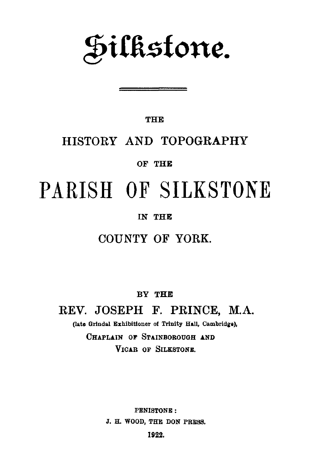**Silkstone.**

**THE**

### HISTORY AND TOPOGRAPHY

**OF THE**

# PARISH OF SILKSTONE

#### **IN THE**

### COUNTY OF YORK.

**BY THE**

REV. JOSEPH F. PRINCE, M.A. **(late Grindal Exhibitioner of Trinity Hall, Cambridge), CHAPLAIN OF STAINBOROUGH AND VICAR OF SILKSTONE.**

> **PENISTONE : J. H. WOOD, THE DON PRESS.**

> > **1922.**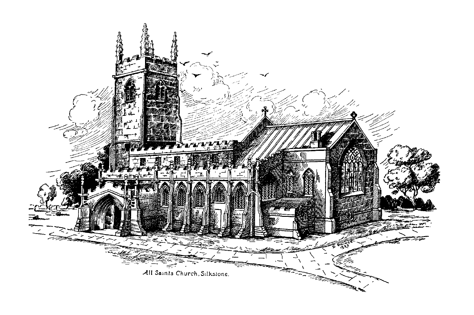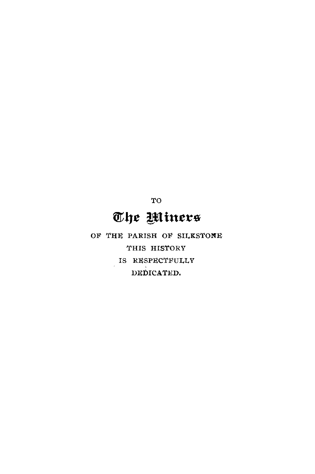TO

# The Miners

OF THE PARISH OF SILKSTONE THIS HISTORY IS RESPECTFULLY DEDICATED.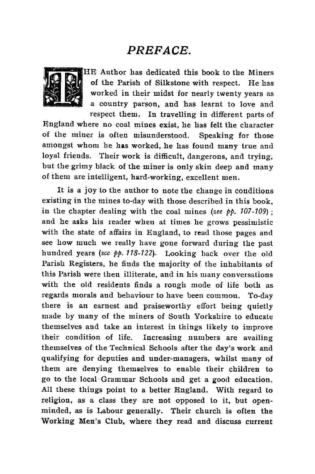### *PREFACE.*



HE Author has dedicated this book to the Miners of the Parish of Silkstone with respect. He has worked in their midst for nearly twenty years as a country parson, and has learnt to love and respect them. In travelling in different parts of

England where no coal mines exist, he has felt the character of the miner is often misunderstood. Speaking for those amongst whom he has worked, he has found many true and loyal friends. Their work is difficult, dangerons, and trying, but the grimy black of the miner is only skin deep and many of them are intelligent, hard-working, excellent men.

It is a joy to the author to note the change in conditions existing in the mines to-day with those described in this book, in the chapter dealing with the coal mines *(see pp. 107 -109) ;* and he asks his reader when at times he grows pessimistic with the state of affairs in England, to read those pages and see how much we really have gone forward during the past hundred years *(sce pp. 118-122).* Looking back over the old Parish Registers, he finds the majority of the inhabitants of this Parish were then illiterate, and in his many conversations with the old residents finds a rough mode of life both as regards morals and behaviour to have been common. To-day there is an earnest and praiseworthy effort being quietly made by many of the miners of South Yorkshire to educate themselves and take an interest in things likely to improve their condition of life. Increasing numbers are availing themselves of the Technical Schools after the day's work and qualifying for deputies and under-managers, whilst many of them are denying themselves to enable their children to go to the local Grammar Schools and get a good education. All these things point to a better England. With regard to religion, as a class they are not opposed to it, but openminded, as is Labour generally. Their church is often the Working Men's Club, where they read and discuss current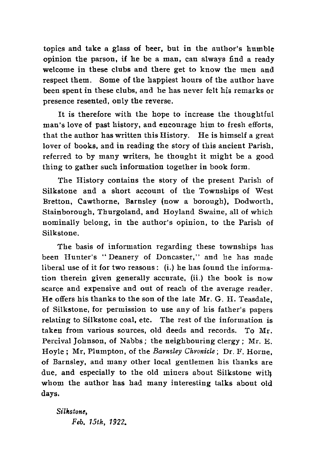topics and take a glass of beer, but in the author's humble opinion the parson, if he be a man, can always find a ready welcome in these clubs and there get to know the men and respect them. Some of the happiest hours of the author have been spent in these clubs, and he has never felt his remarks or presence resented, only the reverse.

It is therefore with the hope to increase the thoughtful man's love of past history, and encourage him to fresh efforts, that the author has written this History. He is himself a great lover of books, and in reading the story of this ancient Parish, referred to by many writers, he thought it might be a good thing to gather such information together in book form.

The History contains the story of the present Parish of Silkstone and a short account of the Townships of West Bretton, Cawthorne, Barnsley (now a borough), Dodworth, Stainborough, Thurgoland, and Hoyland Swaine, all of which nominally belong, in the author's opinion, to the Parish of Silkstone.

The basis of information regarding these townships has been Hunter's " Deanery of Doncaster," and he has made liberal use of it for two reasons : (i.) he has found the information therein given generally accurate, (ii.) the book is now scarce and expensive and out of reach of the average reader. He offers his thanks to the son of the late Mr. G. II. Teasdale, of Silkstone, for permission to use any of his father's papers relating to Silkstone coal, etc. The rest of the information is taken from various sources, old deeds and records. To Mr. Percival Johnson, of Nabbs ; the neighbouring clergy ; Mr. E. Hoyle ; Mr, Plumpton, of the *Barnsley Chronicle ;* Dr. F. Horne, of Barnsley, and many other local gentlemen his thanks are due, and especially to the old miners about Silkstone whom the author has had many interesting talks about old days.

*Silkstone, Feb. 15th, 1922.*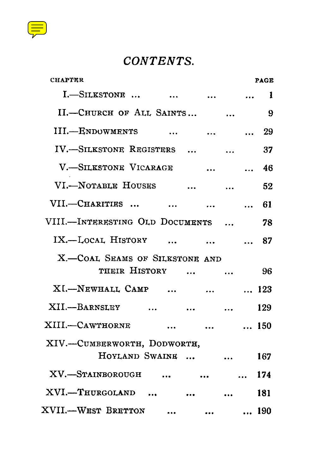

## *CONTENTS.*

| CONTENTS.                                                            |          |             |
|----------------------------------------------------------------------|----------|-------------|
| <b>CHAPTER</b>                                                       |          | <b>PAGE</b> |
| I.-SILKSTONE     1                                                   |          |             |
| II.-CHURCH OF ALL SAINTS                                             |          | 9           |
| III.—ENDOWMENTS                                                      |          | 29          |
| IV.-SILKSTONE REGISTERS                                              |          | 37          |
| V.-SILKSTONE VICARAGE                                                |          | 46          |
| VI.-NOTABLE HOUSES                                                   |          | 52          |
| VII.---CHARITIES                                                     |          | $\ldots$ 61 |
| VIII.--INTERESTING OLD DOCUMENTS                                     |          | 78          |
| IX.-LOCAL HISTORY                                                    |          | 87          |
| X.-COAL SEAMS OF SILKSTONE AND                                       |          |             |
| THEIR HISTORY                                                        |          | 96          |
| XI.-NEWHALL CAMP   123                                               |          |             |
| XII.—BARNSLEY                                                        |          | 129         |
| XIII.-CAWTHORNE   150                                                |          |             |
| XIV.-CUMBERWORTH, DODWORTH,                                          |          |             |
| HOYLAND SWAINE                                                       |          | 167         |
| XV.-STAINBOROUGH                                                     |          | 174         |
| XVI.-THURGOLAND                                                      | $\cdots$ | 181         |
| XVII.—WEST BRETTON<br>$\bullet\bullet\bullet$ . The set of $\bullet$ |          | 190         |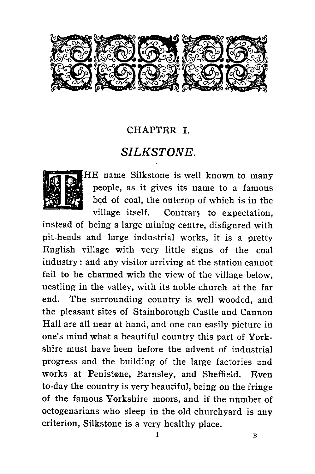<span id="page-6-0"></span>

### CHAPTER I.

### *SILKSTONE.*



HE name Silkstone is well known to many<br>
people, as it gives its name to a famous people, as it gives its name to a famous<br>bed of coal, the outcrop of which is in the village itself. Contrary to expectation,

instead of being a large mining centre, disfigured with pit-heads and large industrial works, it is a pretty English village with very little signs of the coal industry : and any visitor arriving at the station cannot fail to be charmed with the view of the village below, nestling in the valley, with its noble church at the far end. The surrounding country is well wooded, and the pleasant sites of Stainborough Castle and Cannon Hall are all near at hand, and one can easily picture in one's mind what a beautiful country this part of Yorkshire must have been before the advent of industrial progress and the building of the large factories and works at Penistone, Barnsley, and Sheffield. Even to-day the country is very beautiful, being on the fringe of the famous Yorkshire moors, and if the number of octogenarians who sleep in the old churchyard is any criterion, Silkstone is a very healthy place.